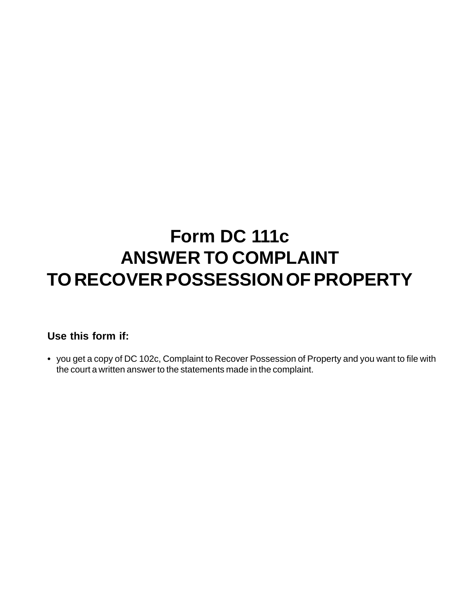## **Form DC 111c ANSWER TO COMPLAINT TO RECOVER POSSESSION OF PROPERTY**

## **Use this form if:**

**•** you get a copy of DC 102c, Complaint to Recover Possession of Property and you want to file with the court a written answer to the statements made in the complaint.